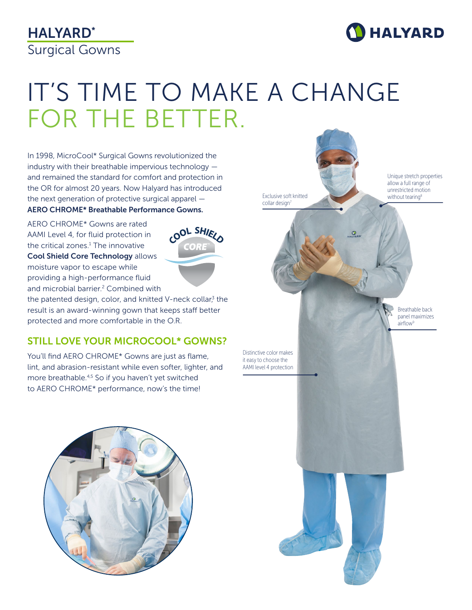### HALYARD\* Surgical Gowns

## **HALYARD**

# IT'S TIME TO MAKE A CHANGE FOR THE BETTER.

In 1998, MicroCool\* Surgical Gowns revolutionized the industry with their breathable impervious technology and remained the standard for comfort and protection in the OR for almost 20 years. Now Halyard has introduced the next generation of protective surgical apparel — AERO CHROME\* Breathable Performance Gowns.

AERO CHROME\* Gowns are rated AAMI Level 4, for fluid protection in the critical zones.<sup>1</sup> The innovative Cool Shield Core Technology allows moisture vapor to escape while providing a high-performance fluid and microbial barrier.<sup>2</sup> Combined with



the patented design, color, and knitted V-neck collar,<sup>3</sup> the result is an award-winning gown that keeps staff better protected and more comfortable in the O.R.

#### STILL LOVE YOUR MICROCOOL\* GOWNS?

You'll find AERO CHROME\* Gowns are just as flame, lint, and abrasion-resistant while even softer, lighter, and more breathable.4,5 So if you haven't yet switched to AERO CHROME\* performance, now's the time!

Distinctive color makes it easy to choose the AAMI level 4 protection